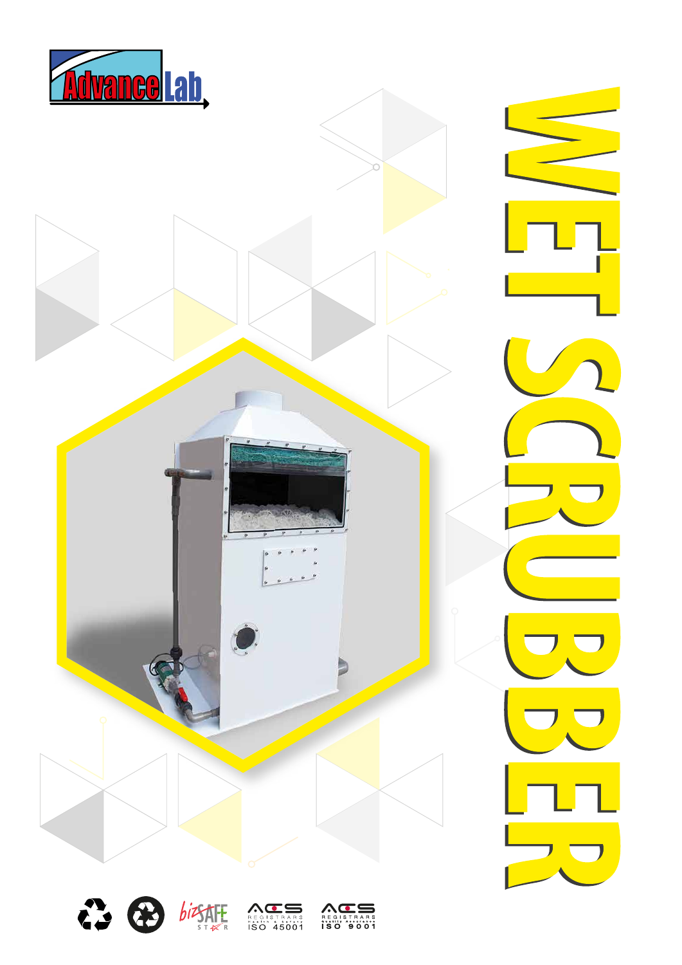





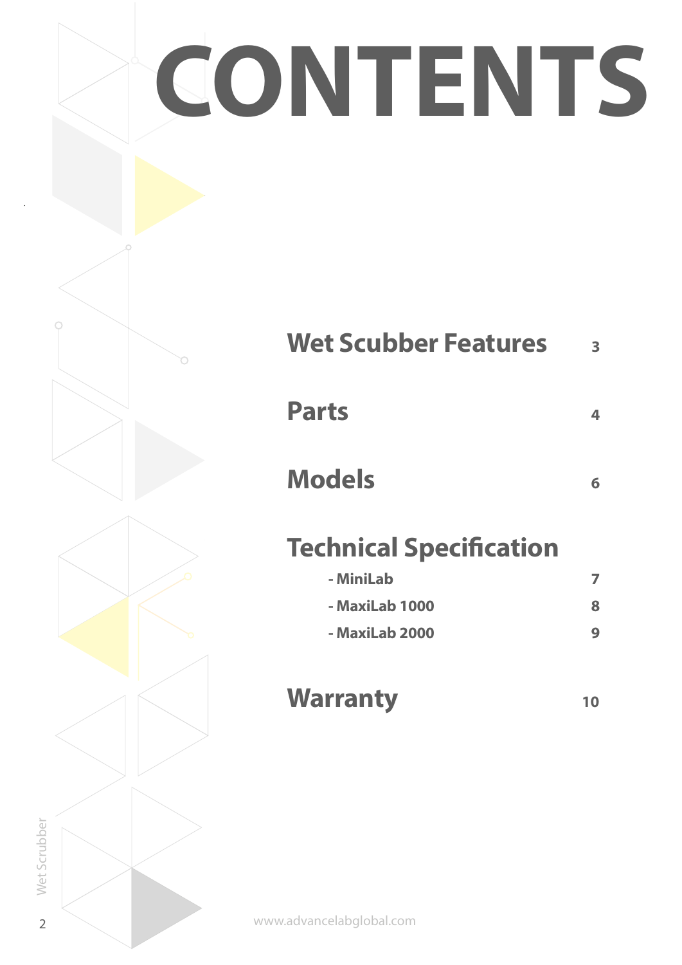# **CONTENTS**

| <b>Wet Scubber Features</b>    | 3  |
|--------------------------------|----|
| <b>Parts</b>                   | 4  |
| <b>Models</b>                  | 6  |
| <b>Technical Specification</b> |    |
| - MiniLab                      | 7  |
| - MaxiLab 1000                 | 8  |
| - MaxiLab 2000                 | 9  |
| <b>Warranty</b>                | 10 |

www.advancelabglobal.com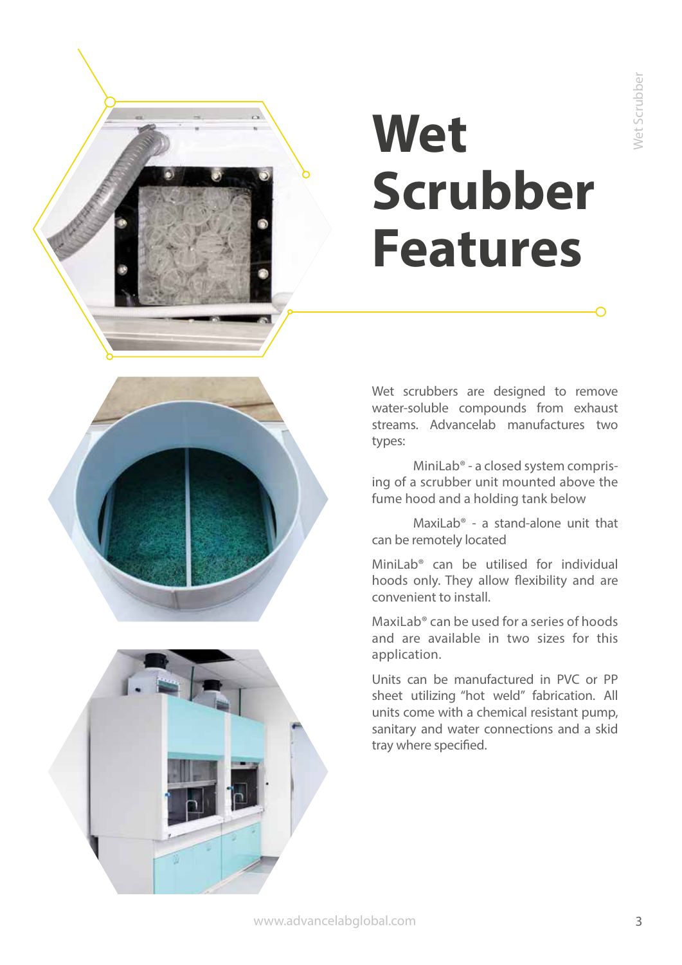# **CONTENTS Wet Scrubber Features**





Wet scrubbers are designed to remove water-soluble compounds from exhaust streams. Advancelab manufactures two types:

 MiniLab® - a closed system comprising of a scrubber unit mounted above the fume hood and a holding tank below

 MaxiLab® - a stand-alone unit that can be remotely located

MiniLab® can be utilised for individual hoods only. They allow flexibility and are convenient to install.

MaxiLab® can be used for a series of hoods and are available in two sizes for this application.

Units can be manufactured in PVC or PP sheet utilizing "hot weld" fabrication. All units come with a chemical resistant pump, sanitary and water connections and a skid tray where specified.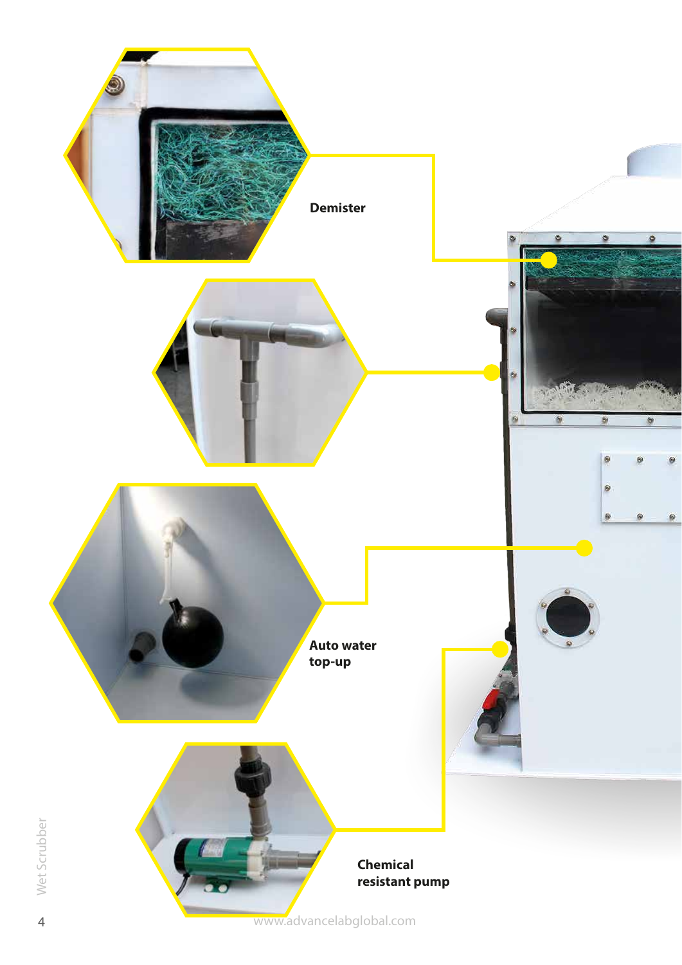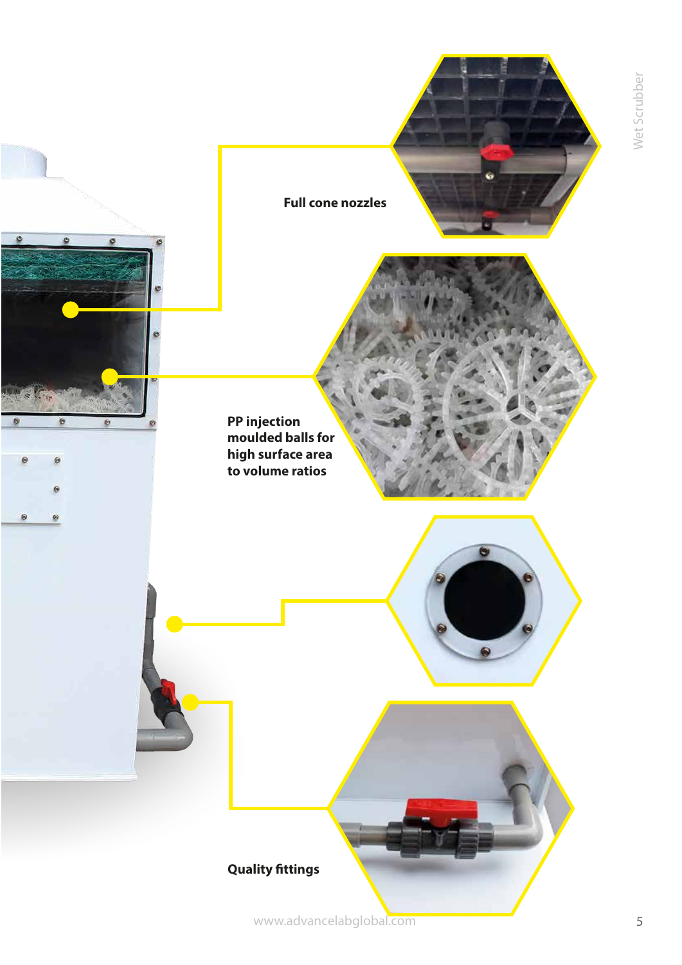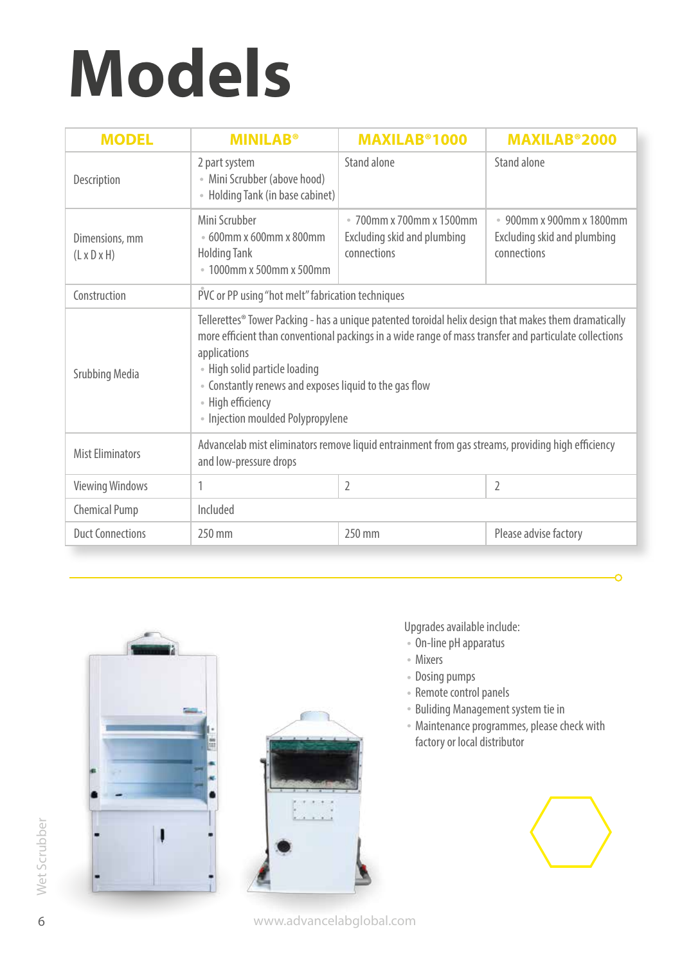## **Models**

| <b>MODEL</b>                              | <b>MINILAB<sup>®</sup></b>                                                                                                                                                                                                                                                                                                                                                           | <b>MAXILAB<sup>®</sup>1000</b>                                         | <b>MAXILAB</b> ®2000                                                   |  |
|-------------------------------------------|--------------------------------------------------------------------------------------------------------------------------------------------------------------------------------------------------------------------------------------------------------------------------------------------------------------------------------------------------------------------------------------|------------------------------------------------------------------------|------------------------------------------------------------------------|--|
| Description                               | 2 part system<br>• Mini Scrubber (above hood)<br>• Holding Tank (in base cabinet)                                                                                                                                                                                                                                                                                                    | Stand alone                                                            | Stand alone                                                            |  |
| Dimensions, mm<br>$(L \times D \times H)$ | Mini Scrubber<br>$\cdot$ 600mm x 600mm x 800mm<br><b>Holding Tank</b><br>● 1000mm x 500mm x 500mm                                                                                                                                                                                                                                                                                    | • 700mm x 700mm x 1500mm<br>Excluding skid and plumbing<br>connections | • 900mm x 900mm x 1800mm<br>Excluding skid and plumbing<br>connections |  |
| Construction                              | PVC or PP using "hot melt" fabrication techniques                                                                                                                                                                                                                                                                                                                                    |                                                                        |                                                                        |  |
| <b>Srubbing Media</b>                     | Tellerettes® Tower Packing - has a unique patented toroidal helix design that makes them dramatically<br>more efficient than conventional packings in a wide range of mass transfer and particulate collections<br>applications<br>• High solid particle loading<br>• Constantly renews and exposes liquid to the gas flow<br>• High efficiency<br>• Injection moulded Polypropylene |                                                                        |                                                                        |  |
| <b>Mist Eliminators</b>                   | Advancelab mist eliminators remove liquid entrainment from gas streams, providing high efficiency<br>and low-pressure drops                                                                                                                                                                                                                                                          |                                                                        |                                                                        |  |
| <b>Viewing Windows</b>                    | 1                                                                                                                                                                                                                                                                                                                                                                                    | 2                                                                      | 2                                                                      |  |
| <b>Chemical Pump</b>                      | Included                                                                                                                                                                                                                                                                                                                                                                             |                                                                        |                                                                        |  |
| <b>Duct Connections</b>                   | 250 mm                                                                                                                                                                                                                                                                                                                                                                               | 250 mm                                                                 | Please advise factory                                                  |  |





Upgrades available include:

- On-line pH apparatus
- Mixers
- Dosing pumps
- Remote control panels
- Buliding Management system tie in
- Maintenance programmes, please check with factory or local distributor



 $\Omega$ 

www.advancelabglobal.com

Wet Scrubber on Wet Scrubber 6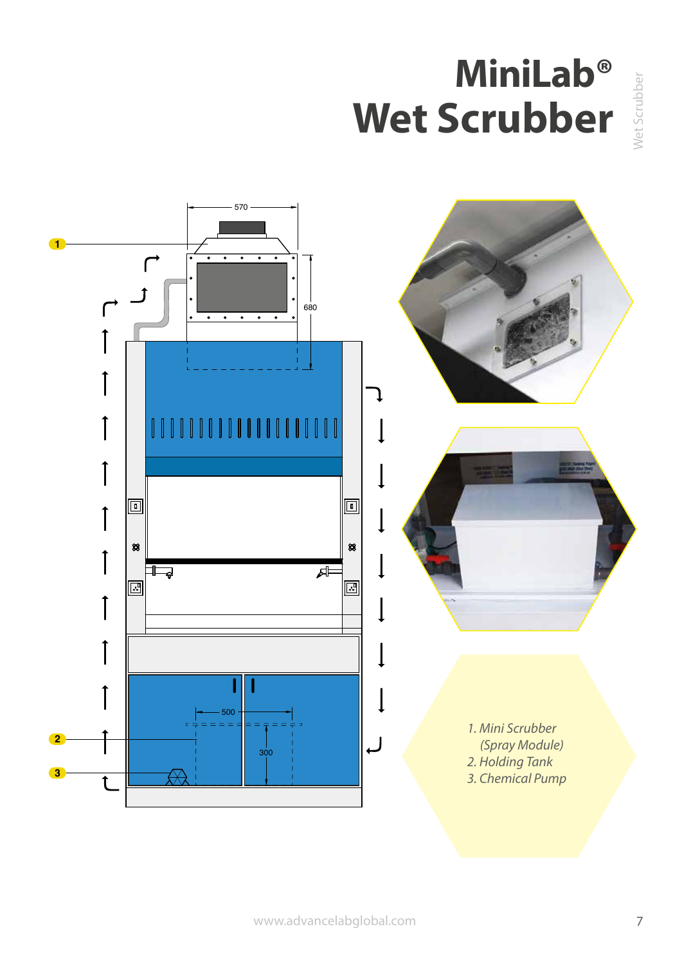### **MiniLab® Wet Scrubber**

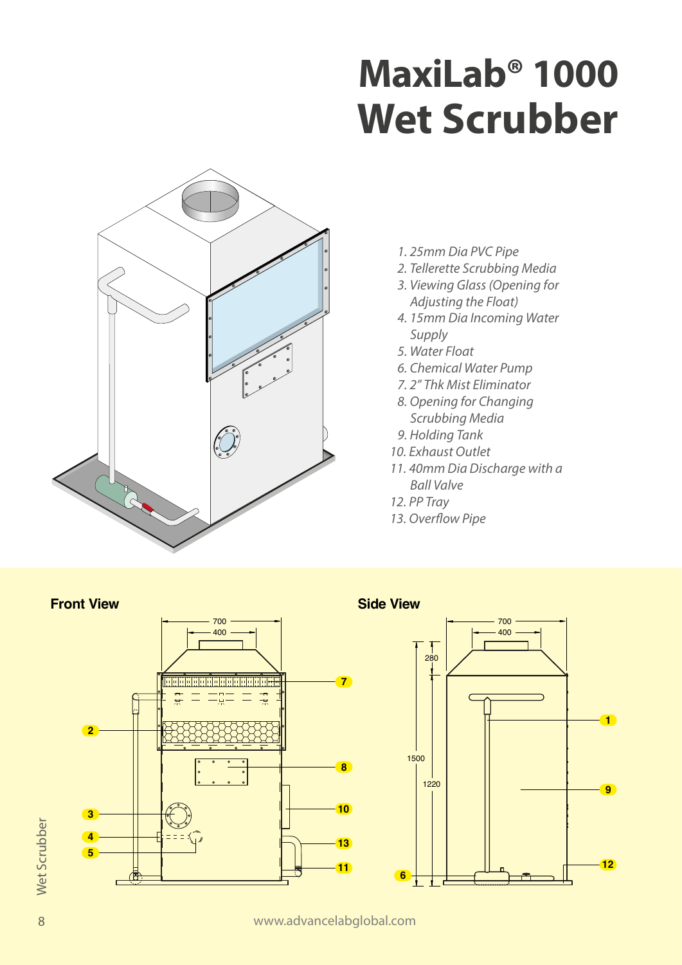## **MaxiLab® 1000 Wet Scrubber**



- *1. 25mm Dia PVC Pipe*
- *2. Tellerette Scrubbing Media*
- *3. Viewing Glass (Opening for Adjusting the Float)*
- *4. 15mm Dia Incoming Water Supply*
- *5. Water Float*
- *6. Chemical Water Pump*
- *7. 2" Thk Mist Eliminator*
- *8. Opening for Changing Scrubbing Media*
- *9. Holding Tank*
- *10. Exhaust Outlet*
- *11. 40mm Dia Discharge with a Ball Valve*
- *12. PP Tray*
- 13. Overflow Pipe



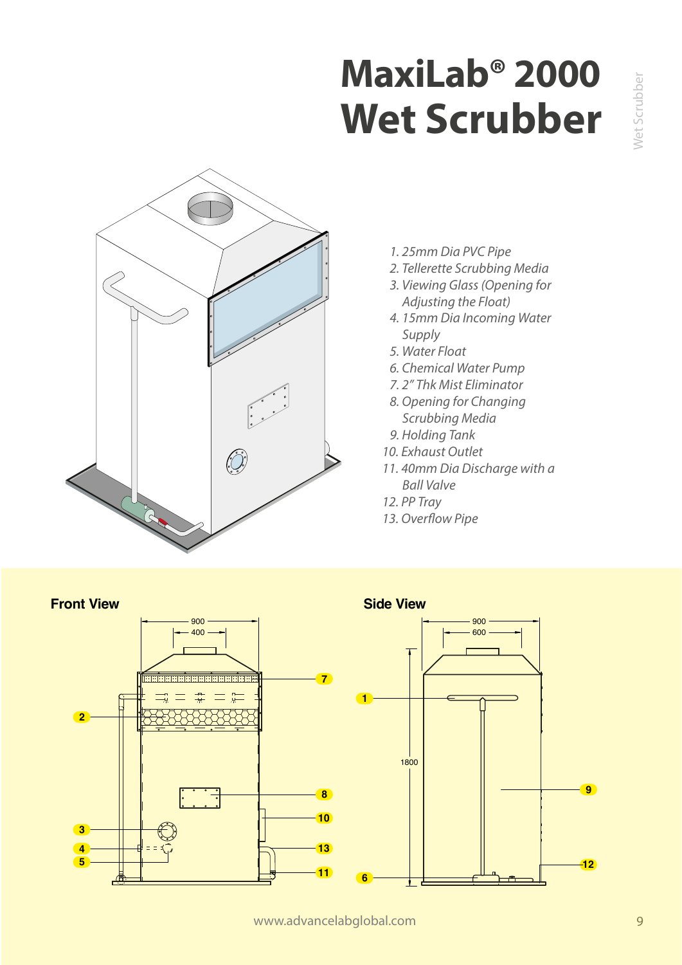## **MaxiLab® 2000 Wet Scrubber**



- *1. 25mm Dia PVC Pipe*
- *2. Tellerette Scrubbing Media*
- *3. Viewing Glass (Opening for Adjusting the Float)*
- *4. 15mm Dia Incoming Water Supply*
- *5. Water Float*
- *6. Chemical Water Pump*
- *7. 2" Thk Mist Eliminator*
- *8. Opening for Changing Scrubbing Media*
- *9. Holding Tank*
- *10. Exhaust Outlet*
- *11. 40mm Dia Discharge with a Ball Valve*
- *12. PP Tray*
- 13. Overflow Pipe



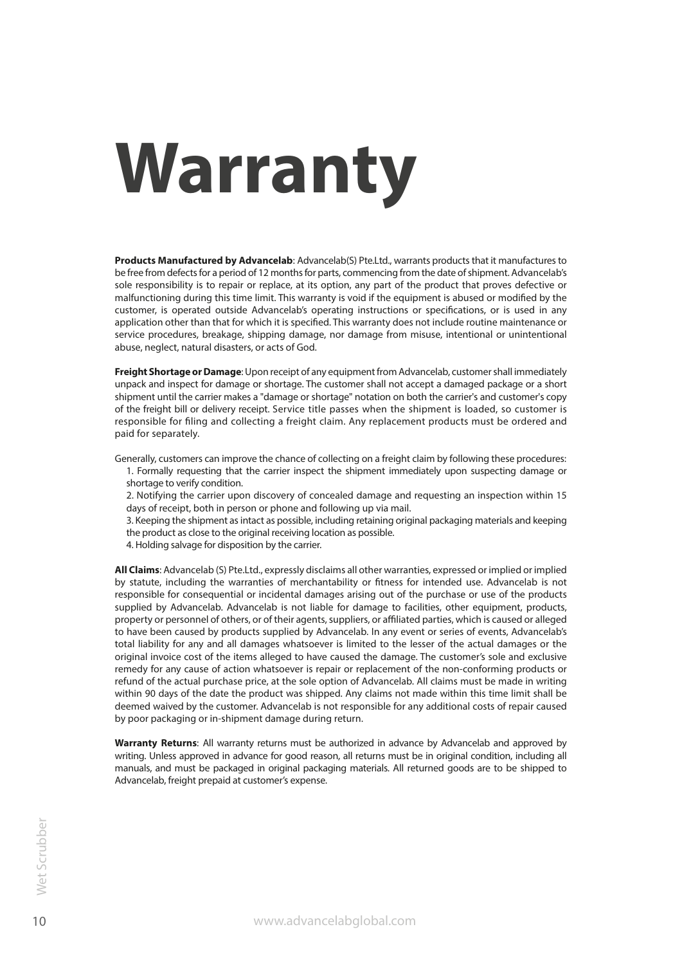# **Warranty**

**Products Manufactured by Advancelab**: Advancelab(S) Pte.Ltd., warrants products that it manufactures to be free from defects for a period of 12 months for parts, commencing from the date of shipment. Advancelab's sole responsibility is to repair or replace, at its option, any part of the product that proves defective or malfunctioning during this time limit. This warranty is void if the equipment is abused or modified by the customer, is operated outside Advancelab's operating instructions or specifications, or is used in any application other than that for which it is specified. This warranty does not include routine maintenance or service procedures, breakage, shipping damage, nor damage from misuse, intentional or unintentional abuse, neglect, natural disasters, or acts of God.

**Freight Shortage or Damage**: Upon receipt of any equipment from Advancelab, customer shall immediately unpack and inspect for damage or shortage. The customer shall not accept a damaged package or a short shipment until the carrier makes a "damage or shortage" notation on both the carrier's and customer's copy of the freight bill or delivery receipt. Service title passes when the shipment is loaded, so customer is responsible for filing and collecting a freight claim. Any replacement products must be ordered and paid for separately.

Generally, customers can improve the chance of collecting on a freight claim by following these procedures:

- 1. Formally requesting that the carrier inspect the shipment immediately upon suspecting damage or
- shortage to verify condition. 2. Notifying the carrier upon discovery of concealed damage and requesting an inspection within 15
- days of receipt, both in person or phone and following up via mail.

3. Keeping the shipment as intact as possible, including retaining original packaging materials and keeping the product as close to the original receiving location as possible.

4. Holding salvage for disposition by the carrier.

**All Claims**: Advancelab (S) Pte.Ltd., expressly disclaims all other warranties, expressed or implied or implied by statute, including the warranties of merchantability or fitness for intended use. Advancelab is not responsible for consequential or incidental damages arising out of the purchase or use of the products supplied by Advancelab. Advancelab is not liable for damage to facilities, other equipment, products, property or personnel of others, or of their agents, suppliers, or affiliated parties, which is caused or alleged to have been caused by products supplied by Advancelab. In any event or series of events, Advancelab's total liability for any and all damages whatsoever is limited to the lesser of the actual damages or the original invoice cost of the items alleged to have caused the damage. The customer's sole and exclusive remedy for any cause of action whatsoever is repair or replacement of the non-conforming products or refund of the actual purchase price, at the sole option of Advancelab. All claims must be made in writing within 90 days of the date the product was shipped. Any claims not made within this time limit shall be deemed waived by the customer. Advancelab is not responsible for any additional costs of repair caused by poor packaging or in-shipment damage during return.

**Warranty Returns**: All warranty returns must be authorized in advance by Advancelab and approved by writing. Unless approved in advance for good reason, all returns must be in original condition, including all manuals, and must be packaged in original packaging materials. All returned goods are to be shipped to Advancelab, freight prepaid at customer's expense.